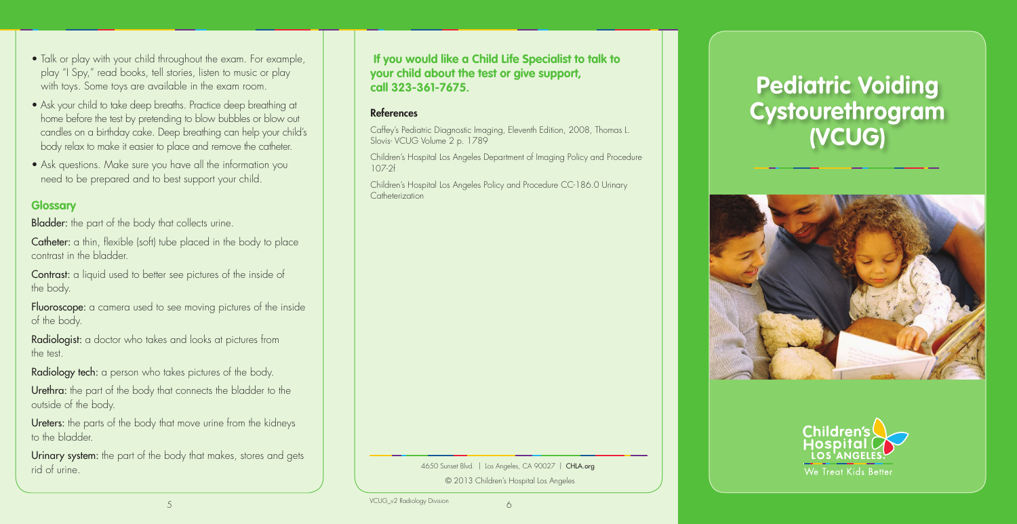**If you would like a Child Life Specialist to talk to your child about the test or give support, call 323-361-7675.**

#### References

Children's Hospital Los Angeles Policy and Procedure CC-186.0 Urinary **Catheterization** 

Caffey's Pediatric Diagnostic Imaging, Eleventh Edition, 2008, Thomas L. Slovis- VCUG Volume 2 p. 1789

Children's Hospital Los Angeles Department of Imaging Policy and Procedure 107-2f

• Talk or play with your child throughout the exam. For example, play "I Spy," read books, tell stories, listen to music or play

with toys. Some toys are available in the exam room.

Fluoroscope: a camera used to see moving pictures of the inside of the body.

• Ask your child to take deep breaths. Practice deep breathing at home before the test by pretending to blow bubbles or blow out candles on a birthday cake. Deep breathing can help your child's

Urethra: the part of the body that connects the bladder to the outside of the body.

Ureters: the parts of the body that move urine from the kidneys to the bladder.

Urinary system: the part of the body that makes, stores and gets rid of urine.

body relax to make it easier to place and remove the catheter. • Ask questions. Make sure you have all the information you need to be prepared and to best support your child.

#### **Glossary**

**Bladder:** the part of the body that collects urine.

Catheter: a thin, flexible (soft) tube placed in the body to place contrast in the bladder.

Contrast: a liquid used to better see pictures of the inside of the body.

Radiologist: a doctor who takes and looks at pictures from the test.

Radiology tech: a person who takes pictures of the body.

4650 Sunset Blvd. | Los Angeles, CA 90027 | CHLA.org

© 2013 Children's Hospital Los Angeles

# **Pediatric Voiding Cystourethrogram (VCUG)**